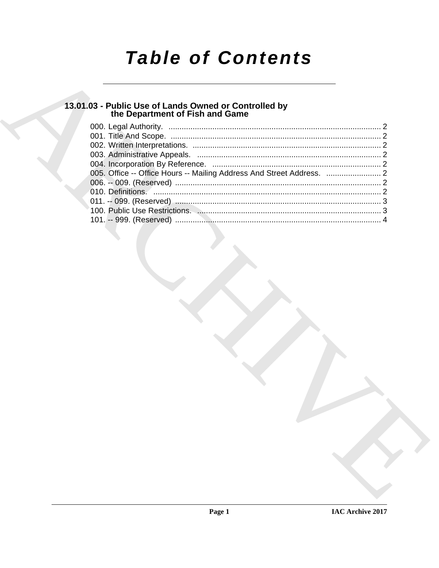# **Table of Contents**

## 13.01.03 - Public Use of Lands Owned or Controlled by<br>the Department of Fish and Game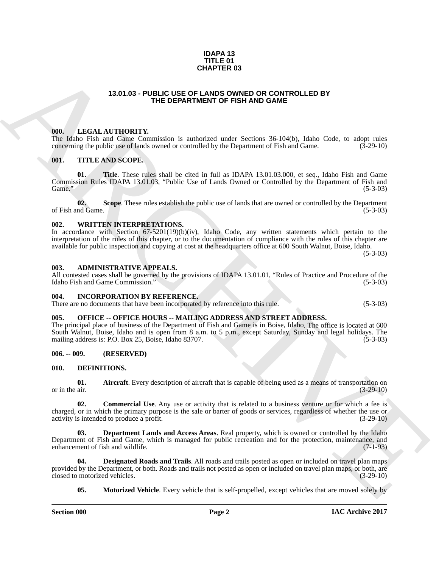#### **IDAPA 13 TITLE 01 CHAPTER 03**

#### **13.01.03 - PUBLIC USE OF LANDS OWNED OR CONTROLLED BY THE DEPARTMENT OF FISH AND GAME**

#### <span id="page-1-1"></span><span id="page-1-0"></span>**000. LEGAL AUTHORITY.**

The Idaho Fish and Game Commission is authorized under Sections 36-104(b), Idaho Code, to adopt rules concerning the public use of lands owned or controlled by the Department of Fish and Game. (3-29-10) concerning the public use of lands owned or controlled by the Department of Fish and Game.

#### <span id="page-1-2"></span>**001. TITLE AND SCOPE.**

**01. Title**. These rules shall be cited in full as IDAPA 13.01.03.000, et seq., Idaho Fish and Game Commission Rules IDAPA 13.01.03, "Public Use of Lands Owned or Controlled by the Department of Fish and Game."  $(5-3-03)$ 

**02.** Scope. These rules establish the public use of lands that are owned or controlled by the Department of G-3-03) of Fish and Game.

#### <span id="page-1-3"></span>**002. WRITTEN INTERPRETATIONS.**

In accordance with Section 67-5201(19)(b)(iv), Idaho Code, any written statements which pertain to the interpretation of the rules of this chapter, or to the documentation of compliance with the rules of this chapter are available for public inspection and copying at cost at the headquarters office at 600 South Walnut, Boise, Idaho.

 $(5-3-03)$ 

#### <span id="page-1-4"></span>**003. ADMINISTRATIVE APPEALS.**

All contested cases shall be governed by the provisions of IDAPA 13.01.01, "Rules of Practice and Procedure of the Idaho Fish and Game Commission." (5-3-03)

#### <span id="page-1-5"></span>**004. INCORPORATION BY REFERENCE.**

There are no documents that have been incorporated by reference into this rule. (5-3-03)

#### <span id="page-1-6"></span>**005. OFFICE -- OFFICE HOURS -- MAILING ADDRESS AND STREET ADDRESS.**

**CHAPTER 0.3**<br> **CHAPTER 0.3**<br> **CHAPTER 0.2**<br> **CHAPTER CEPARTMENT OF PISH AND GAME OF THE ARCHIVES CONTINUES OF THE CHAPTER OF THE AND CALL TO THE CHAPTER CONTINUES OF THE ARCHIVES CONTINUES OF THE ARCHIVES CONTINUES OF TH** The principal place of business of the Department of Fish and Game is in Boise, Idaho. The office is located at 600 South Walnut, Boise, Idaho and is open from 8 a.m. to 5 p.m., except Saturday, Sunday and legal holidays. The mailing address is: P.O. Box 25, Boise, Idaho 83707. (5-3-03)

<span id="page-1-7"></span>**006. -- 009. (RESERVED)**

#### <span id="page-1-9"></span><span id="page-1-8"></span>**010. DEFINITIONS.**

<span id="page-1-10"></span>**01.** Aircraft. Every description of aircraft that is capable of being used as a means of transportation on or in the air. (3-29-10) or in the air.  $(3-29-10)$ 

<span id="page-1-11"></span>**02. Commercial Use**. Any use or activity that is related to a business venture or for which a fee is charged, or in which the primary purpose is the sale or barter of goods or services, regardless of whether the use or activity is intended to produce a profit. activity is intended to produce a profit.

<span id="page-1-12"></span>**03. Department Lands and Access Areas**. Real property, which is owned or controlled by the Idaho Department of Fish and Game, which is managed for public recreation and for the protection, maintenance, and enhancement of fish and wildlife. (7-1-93) enhancement of fish and wildlife.

**04. Designated Roads and Trails**. All roads and trails posted as open or included on travel plan maps provided by the Department, or both. Roads and trails not posted as open or included on travel plan maps, or both, are closed to motorized vehicles. closed to motorized vehicles.

<span id="page-1-14"></span><span id="page-1-13"></span>**05.** Motorized Vehicle. Every vehicle that is self-propelled, except vehicles that are moved solely by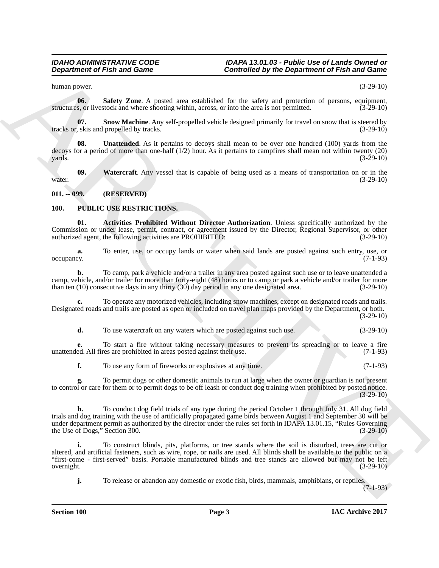human power. (3-29-10)

<span id="page-2-2"></span>**06. Safety Zone**. A posted area established for the safety and protection of persons, equipment, s. or livestock and where shooting within, across, or into the area is not permitted. (3-29-10) structures, or livestock and where shooting within, across, or into the area is not permitted.

<span id="page-2-3"></span>**07.** Snow Machine. Any self-propelled vehicle designed primarily for travel on snow that is steered by skis and propelled by tracks. tracks or, skis and propelled by tracks.

<span id="page-2-4"></span>**08. Unattended**. As it pertains to decoys shall mean to be over one hundred (100) yards from the decoys for a period of more than one-half  $(1/2)$  hour. As it pertains to campfires shall mean not within twenty  $(20)$  yards.  $(3-29-10)$  $y$ ards.  $(3-29-10)$ 

<span id="page-2-5"></span>**09.** Watercraft. Any vessel that is capable of being used as a means of transportation on or in the  $(3-29-10)$ water.  $(3-29-10)$ 

<span id="page-2-0"></span>**011. -- 099. (RESERVED)**

#### <span id="page-2-7"></span><span id="page-2-6"></span><span id="page-2-1"></span>**100. PUBLIC USE RESTRICTIONS.**

**01. Activities Prohibited Without Director Authorization**. Unless specifically authorized by the Commission or under lease, permit, contract, or agreement issued by the Director, Regional Supervisor, or other authorized agent, the following activities are PROHIBITED: (3-29-10) authorized agent, the following activities are PROHIBITED:

**a.** To enter, use, or occupy lands or water when said lands are posted against such entry, use, or occupancy. (7-1-93)

**b.** To camp, park a vehicle and/or a trailer in any area posted against such use or to leave unattended a camp, vehicle, and/or trailer for more than forty-eight (48) hours or to camp or park a vehicle and/or trailer for more than ten (10) consecutive days in any thirty (30) day period in any one designated area. (3-29-10) than ten  $(10)$  consecutive days in any thirty  $(30)$  day period in any one designated area.

**c.** To operate any motorized vehicles, including snow machines, except on designated roads and trails. Designated roads and trails are posted as open or included on travel plan maps provided by the Department, or both.

(3-29-10)

**d.** To use watercraft on any waters which are posted against such use. (3-29-10)

**e.** To start a fire without taking necessary measures to prevent its spreading or to leave a fire ed. All fires are prohibited in areas posted against their use. (7-1-93) unattended. All fires are prohibited in areas posted against their use.

**f.** To use any form of fireworks or explosives at any time. (7-1-93)

**g.** To permit dogs or other domestic animals to run at large when the owner or guardian is not present to control or care for them or to permit dogs to be off leash or conduct dog training when prohibited by posted notice.  $(3-29-10)$ 

**Department of Fish and Game<br>
Scanished by the Department of Fish and Game<br>
Neuron of Fish and Game<br>
Neuron Constraints of the ratio of Fish and Game<br>
Neuron Constraints of Fish and Theorem Constraints of the ratio of Pie h.** To conduct dog field trials of any type during the period October 1 through July 31. All dog field trials and dog training with the use of artificially propagated game birds between August 1 and September 30 will be under department permit as authorized by the director under the rules set forth in IDAPA 13.01.15, "Rules Governing<br>(3-29-10)<br>(3-29-10) the Use of Dogs," Section 300.

**i.** To construct blinds, pits, platforms, or tree stands where the soil is disturbed, trees are cut or altered, and artificial fasteners, such as wire, rope, or nails are used. All blinds shall be available to the public on a "first-come - first-served" basis. Portable manufactured blinds and tree stands are allowed but may not be left overnight. (3-29-10)

**j.** To release or abandon any domestic or exotic fish, birds, mammals, amphibians, or reptiles.

(7-1-93)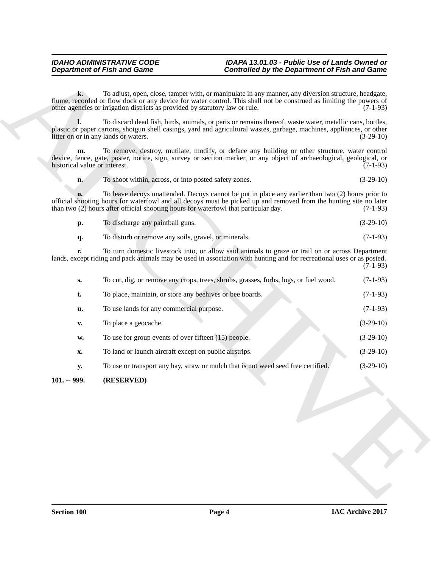<span id="page-3-0"></span>

| To discharge any paintball guns.<br>D. | $(3-29-10)$ |
|----------------------------------------|-------------|
|----------------------------------------|-------------|

|                                     | <b>Department of Fish and Game</b>                                                                                                                                                                                                                                                                            | <b>Controlled by the Department of Fish and Game</b> |
|-------------------------------------|---------------------------------------------------------------------------------------------------------------------------------------------------------------------------------------------------------------------------------------------------------------------------------------------------------------|------------------------------------------------------|
| $\mathbf{k}$ .                      | To adjust, open, close, tamper with, or manipulate in any manner, any diversion structure, headgate,<br>flume, recorded or flow dock or any device for water control. This shall not be construed as limiting the powers of<br>other agencies or irrigation districts as provided by statutory law or rule.   | $(7-1-93)$                                           |
|                                     | To discard dead fish, birds, animals, or parts or remains thereof, waste water, metallic cans, bottles,<br>plastic or paper cartons, shotgun shell casings, yard and agricultural wastes, garbage, machines, appliances, or other<br>litter on or in any lands or waters.                                     | $(3-29-10)$                                          |
| m.<br>historical value or interest. | To remove, destroy, mutilate, modify, or deface any building or other structure, water control<br>device, fence, gate, poster, notice, sign, survey or section marker, or any object of archaeological, geological, or                                                                                        | $(7-1-93)$                                           |
| n.                                  | To shoot within, across, or into posted safety zones.                                                                                                                                                                                                                                                         | $(3-29-10)$                                          |
|                                     | To leave decoys unattended. Decoys cannot be put in place any earlier than two (2) hours prior to<br>official shooting hours for waterfowl and all decoys must be picked up and removed from the hunting site no later<br>than two (2) hours after official shooting hours for waterfowl that particular day. | $(7-1-93)$                                           |
| p.                                  | To discharge any paintball guns.                                                                                                                                                                                                                                                                              | $(3-29-10)$                                          |
| q.                                  | To disturb or remove any soils, gravel, or minerals.                                                                                                                                                                                                                                                          | $(7-1-93)$                                           |
| r.                                  | To turn domestic livestock into, or allow said animals to graze or trail on or across Department<br>lands, except riding and pack animals may be used in association with hunting and for recreational uses or as posted.                                                                                     | $(7-1-93)$                                           |
| $S_{\bullet}$                       | To cut, dig, or remove any crops, trees, shrubs, grasses, forbs, logs, or fuel wood.                                                                                                                                                                                                                          | $(7-1-93)$                                           |
| t.                                  | To place, maintain, or store any beehives or bee boards.                                                                                                                                                                                                                                                      | $(7-1-93)$                                           |
| u.                                  | To use lands for any commercial purpose.                                                                                                                                                                                                                                                                      | $(7-1-93)$                                           |
| V.                                  | To place a geocache.                                                                                                                                                                                                                                                                                          | $(3-29-10)$                                          |
| w.                                  | To use for group events of over fifteen $(15)$ people.                                                                                                                                                                                                                                                        | $(3-29-10)$                                          |
| X.                                  | To land or launch aircraft except on public airstrips.                                                                                                                                                                                                                                                        | $(3-29-10)$                                          |
| <b>y.</b>                           | To use or transport any hay, straw or mulch that is not weed seed free certified.                                                                                                                                                                                                                             | $(3-29-10)$                                          |
| $101. - 999.$                       | (RESERVED)                                                                                                                                                                                                                                                                                                    |                                                      |
|                                     |                                                                                                                                                                                                                                                                                                               |                                                      |
|                                     |                                                                                                                                                                                                                                                                                                               |                                                      |
|                                     |                                                                                                                                                                                                                                                                                                               |                                                      |
|                                     |                                                                                                                                                                                                                                                                                                               |                                                      |
|                                     |                                                                                                                                                                                                                                                                                                               |                                                      |